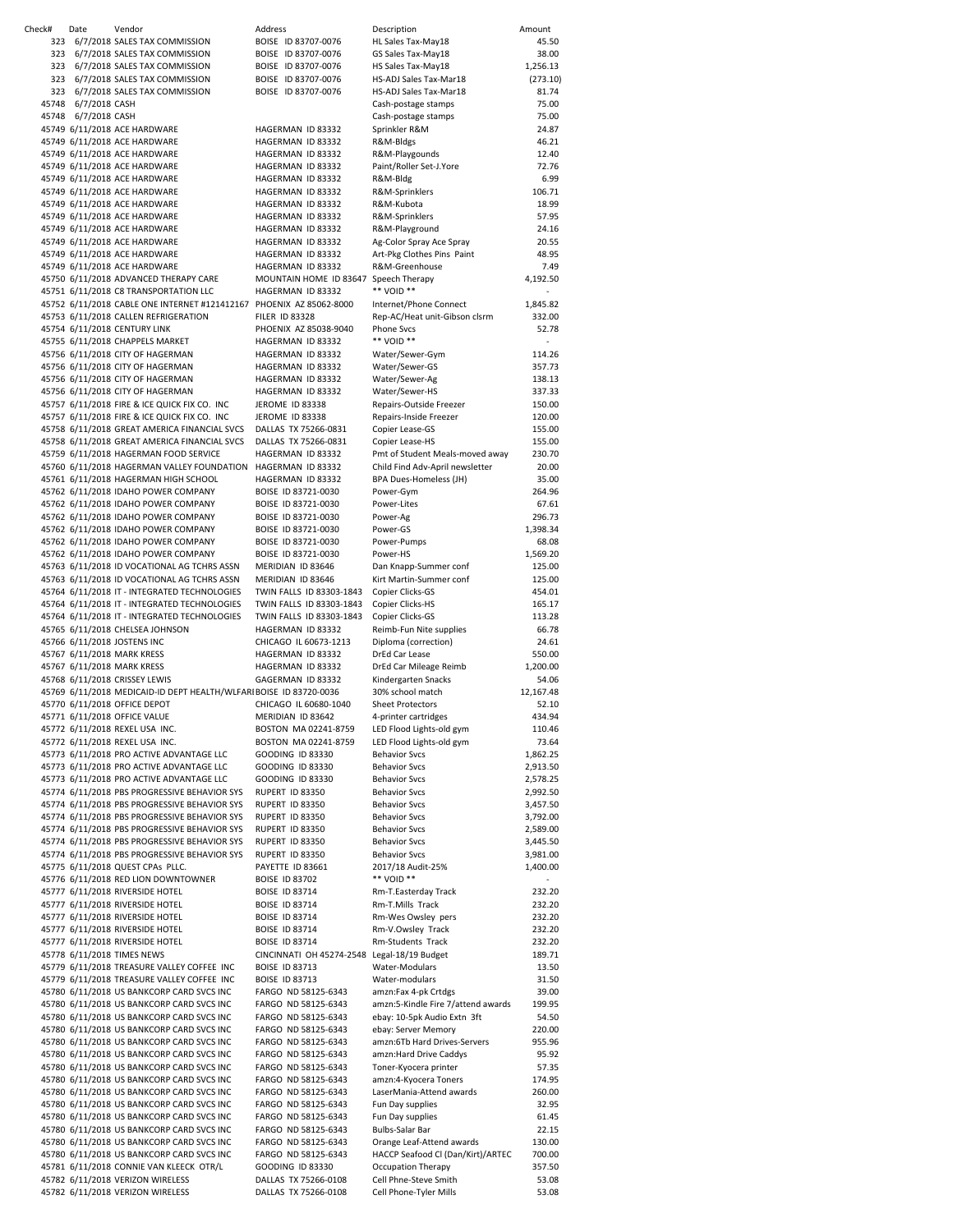| Check# | Date                                 | Vendor                                                                                 | Address                                                    | Description                                                       | Amount               |
|--------|--------------------------------------|----------------------------------------------------------------------------------------|------------------------------------------------------------|-------------------------------------------------------------------|----------------------|
| 323    |                                      | 6/7/2018 SALES TAX COMMISSION                                                          | BOISE ID 83707-0076                                        | HL Sales Tax-May18                                                | 45.50                |
| 323    |                                      | 6/7/2018 SALES TAX COMMISSION                                                          | BOISE ID 83707-0076                                        | GS Sales Tax-May18                                                | 38.00                |
|        |                                      | 323 6/7/2018 SALES TAX COMMISSION                                                      | BOISE ID 83707-0076                                        | HS Sales Tax-May18                                                | 1,256.13             |
| 323    |                                      | 6/7/2018 SALES TAX COMMISSION                                                          | BOISE ID 83707-0076                                        | HS-ADJ Sales Tax-Mar18                                            | (273.10)             |
|        |                                      | 323 6/7/2018 SALES TAX COMMISSION                                                      | BOISE ID 83707-0076                                        | HS-ADJ Sales Tax-Mar18                                            | 81.74                |
| 45748  | 45748 6/7/2018 CASH<br>6/7/2018 CASH |                                                                                        |                                                            | Cash-postage stamps                                               | 75.00<br>75.00       |
|        |                                      | 45749 6/11/2018 ACE HARDWARE                                                           | HAGERMAN ID 83332                                          | Cash-postage stamps<br>Sprinkler R&M                              | 24.87                |
|        |                                      | 45749 6/11/2018 ACE HARDWARE                                                           | HAGERMAN ID 83332                                          | R&M-Bldgs                                                         | 46.21                |
|        |                                      | 45749 6/11/2018 ACE HARDWARE                                                           | HAGERMAN ID 83332                                          | R&M-Playgounds                                                    | 12.40                |
|        |                                      | 45749 6/11/2018 ACE HARDWARE                                                           | HAGERMAN ID 83332                                          | Paint/Roller Set-J.Yore                                           | 72.76                |
|        |                                      | 45749 6/11/2018 ACE HARDWARE                                                           | HAGERMAN ID 83332                                          | R&M-Bldg                                                          | 6.99                 |
|        |                                      | 45749 6/11/2018 ACE HARDWARE                                                           | HAGERMAN ID 83332                                          | R&M-Sprinklers                                                    | 106.71               |
|        |                                      | 45749 6/11/2018 ACE HARDWARE                                                           | HAGERMAN ID 83332                                          | R&M-Kubota                                                        | 18.99                |
|        |                                      | 45749 6/11/2018 ACE HARDWARE                                                           | HAGERMAN ID 83332                                          | R&M-Sprinklers                                                    | 57.95                |
|        |                                      | 45749 6/11/2018 ACE HARDWARE                                                           | HAGERMAN ID 83332                                          | R&M-Playground                                                    | 24.16                |
|        |                                      | 45749 6/11/2018 ACE HARDWARE                                                           | HAGERMAN ID 83332                                          | Ag-Color Spray Ace Spray                                          | 20.55                |
|        |                                      | 45749 6/11/2018 ACE HARDWARE                                                           | HAGERMAN ID 83332                                          | Art-Pkg Clothes Pins Paint                                        | 48.95                |
|        |                                      | 45749 6/11/2018 ACE HARDWARE<br>45750 6/11/2018 ADVANCED THERAPY CARE                  | HAGERMAN ID 83332<br>MOUNTAIN HOME ID 83647 Speech Therapy | R&M-Greenhouse                                                    | 7.49<br>4,192.50     |
|        |                                      | 45751 6/11/2018 C8 TRANSPORTATION LLC                                                  | HAGERMAN ID 83332                                          | ** VOID **                                                        |                      |
|        |                                      | 45752 6/11/2018 CABLE ONE INTERNET #121412167 PHOENIX AZ 85062-8000                    |                                                            | Internet/Phone Connect                                            | 1,845.82             |
|        |                                      | 45753 6/11/2018 CALLEN REFRIGERATION                                                   | <b>FILER ID 83328</b>                                      | Rep-AC/Heat unit-Gibson clsrm                                     | 332.00               |
|        |                                      | 45754 6/11/2018 CENTURY LINK                                                           | PHOENIX AZ 85038-9040                                      | <b>Phone Svcs</b>                                                 | 52.78                |
|        |                                      | 45755 6/11/2018 CHAPPELS MARKET                                                        | HAGERMAN ID 83332                                          | ** VOID **                                                        |                      |
|        |                                      | 45756 6/11/2018 CITY OF HAGERMAN                                                       | HAGERMAN ID 83332                                          | Water/Sewer-Gym                                                   | 114.26               |
|        |                                      | 45756 6/11/2018 CITY OF HAGERMAN                                                       | HAGERMAN ID 83332                                          | Water/Sewer-GS                                                    | 357.73               |
|        |                                      | 45756 6/11/2018 CITY OF HAGERMAN                                                       | HAGERMAN ID 83332                                          | Water/Sewer-Ag                                                    | 138.13               |
|        |                                      | 45756 6/11/2018 CITY OF HAGERMAN<br>45757 6/11/2018 FIRE & ICE QUICK FIX CO. INC       | HAGERMAN ID 83332                                          | Water/Sewer-HS                                                    | 337.33<br>150.00     |
|        |                                      | 45757 6/11/2018 FIRE & ICE QUICK FIX CO. INC                                           | JEROME ID 83338<br>JEROME ID 83338                         | Repairs-Outside Freezer<br>Repairs-Inside Freezer                 | 120.00               |
|        |                                      | 45758 6/11/2018 GREAT AMERICA FINANCIAL SVCS                                           | DALLAS TX 75266-0831                                       | Copier Lease-GS                                                   | 155.00               |
|        |                                      | 45758 6/11/2018 GREAT AMERICA FINANCIAL SVCS                                           | DALLAS TX 75266-0831                                       | Copier Lease-HS                                                   | 155.00               |
|        |                                      | 45759 6/11/2018 HAGERMAN FOOD SERVICE                                                  | HAGERMAN ID 83332                                          | Pmt of Student Meals-moved away                                   | 230.70               |
|        |                                      | 45760 6/11/2018 HAGERMAN VALLEY FOUNDATION HAGERMAN ID 83332                           |                                                            | Child Find Adv-April newsletter                                   | 20.00                |
|        |                                      | 45761 6/11/2018 HAGERMAN HIGH SCHOOL                                                   | HAGERMAN ID 83332                                          | BPA Dues-Homeless (JH)                                            | 35.00                |
|        |                                      | 45762 6/11/2018 IDAHO POWER COMPANY                                                    | BOISE ID 83721-0030                                        | Power-Gym                                                         | 264.96               |
|        |                                      | 45762 6/11/2018 IDAHO POWER COMPANY                                                    | BOISE ID 83721-0030                                        | Power-Lites                                                       | 67.61                |
|        |                                      | 45762 6/11/2018 IDAHO POWER COMPANY                                                    | BOISE ID 83721-0030                                        | Power-Ag                                                          | 296.73               |
|        |                                      | 45762 6/11/2018 IDAHO POWER COMPANY<br>45762 6/11/2018 IDAHO POWER COMPANY             | BOISE ID 83721-0030<br>BOISE ID 83721-0030                 | Power-GS<br>Power-Pumps                                           | 1,398.34<br>68.08    |
|        |                                      | 45762 6/11/2018 IDAHO POWER COMPANY                                                    | BOISE ID 83721-0030                                        | Power-HS                                                          | 1,569.20             |
|        |                                      | 45763 6/11/2018 ID VOCATIONAL AG TCHRS ASSN                                            | MERIDIAN ID 83646                                          | Dan Knapp-Summer conf                                             | 125.00               |
|        |                                      | 45763 6/11/2018 ID VOCATIONAL AG TCHRS ASSN                                            | MERIDIAN ID 83646                                          | Kirt Martin-Summer conf                                           | 125.00               |
|        |                                      | 45764 6/11/2018 IT - INTEGRATED TECHNOLOGIES                                           | TWIN FALLS ID 83303-1843                                   | Copier Clicks-GS                                                  | 454.01               |
|        |                                      | 45764 6/11/2018 IT - INTEGRATED TECHNOLOGIES                                           | TWIN FALLS ID 83303-1843                                   | Copier Clicks-HS                                                  | 165.17               |
|        |                                      | 45764 6/11/2018 IT - INTEGRATED TECHNOLOGIES                                           | TWIN FALLS ID 83303-1843                                   | Copier Clicks-GS                                                  | 113.28               |
|        |                                      | 45765 6/11/2018 CHELSEA JOHNSON                                                        | HAGERMAN ID 83332                                          | Reimb-Fun Nite supplies                                           | 66.78                |
|        |                                      | 45766 6/11/2018 JOSTENS INC<br>45767 6/11/2018 MARK KRESS                              | CHICAGO IL 60673-1213<br>HAGERMAN ID 83332                 | Diploma (correction)<br>DrEd Car Lease                            | 24.61<br>550.00      |
|        |                                      | 45767 6/11/2018 MARK KRESS                                                             | HAGERMAN ID 83332                                          | DrEd Car Mileage Reimb                                            | 1,200.00             |
|        |                                      | 45768 6/11/2018 CRISSEY LEWIS                                                          | GAGERMAN ID 83332                                          | Kindergarten Snacks                                               | 54.06                |
|        |                                      | 45769 6/11/2018 MEDICAID-ID DEPT HEALTH/WLFARIBOISE ID 83720-0036                      |                                                            | 30% school match                                                  | 12,167.48            |
|        |                                      | 45770 6/11/2018 OFFICE DEPOT                                                           | CHICAGO IL 60680-1040                                      | <b>Sheet Protectors</b>                                           | 52.10                |
|        |                                      | 45771 6/11/2018 OFFICE VALUE                                                           | MERIDIAN ID 83642                                          | 4-printer cartridges                                              | 434.94               |
|        |                                      | 45772 6/11/2018 REXEL USA INC.                                                         | BOSTON MA 02241-8759                                       | LED Flood Lights-old gym                                          | 110.46               |
|        |                                      | 45772 6/11/2018 REXEL USA INC.                                                         | BOSTON MA 02241-8759                                       | LED Flood Lights-old gym                                          | 73.64                |
|        |                                      | 45773 6/11/2018 PRO ACTIVE ADVANTAGE LLC                                               | GOODING ID 83330                                           | <b>Behavior Svcs</b>                                              | 1,862.25             |
|        |                                      | 45773 6/11/2018 PRO ACTIVE ADVANTAGE LLC<br>45773 6/11/2018 PRO ACTIVE ADVANTAGE LLC   | <b>GOODING ID 83330</b><br><b>GOODING ID 83330</b>         | <b>Behavior Svcs</b>                                              | 2,913.50             |
|        |                                      | 45774 6/11/2018 PBS PROGRESSIVE BEHAVIOR SYS                                           | RUPERT ID 83350                                            | <b>Behavior Svcs</b><br><b>Behavior Svcs</b>                      | 2,578.25<br>2,992.50 |
|        |                                      | 45774 6/11/2018 PBS PROGRESSIVE BEHAVIOR SYS                                           | RUPERT ID 83350                                            | <b>Behavior Svcs</b>                                              | 3,457.50             |
|        |                                      | 45774 6/11/2018 PBS PROGRESSIVE BEHAVIOR SYS                                           | RUPERT ID 83350                                            | <b>Behavior Svcs</b>                                              | 3,792.00             |
|        |                                      | 45774 6/11/2018 PBS PROGRESSIVE BEHAVIOR SYS                                           | RUPERT ID 83350                                            | <b>Behavior Svcs</b>                                              | 2,589.00             |
|        |                                      | 45774 6/11/2018 PBS PROGRESSIVE BEHAVIOR SYS                                           | RUPERT ID 83350                                            | <b>Behavior Svcs</b>                                              | 3,445.50             |
|        |                                      | 45774 6/11/2018 PBS PROGRESSIVE BEHAVIOR SYS                                           | RUPERT ID 83350                                            | <b>Behavior Svcs</b>                                              | 3,981.00             |
|        |                                      | 45775 6/11/2018 QUEST CPAs PLLC.                                                       | PAYETTE ID 83661                                           | 2017/18 Audit-25%                                                 | 1,400.00             |
|        |                                      | 45776 6/11/2018 RED LION DOWNTOWNER                                                    | <b>BOISE ID 83702</b>                                      | ** VOID **                                                        |                      |
|        |                                      | 45777 6/11/2018 RIVERSIDE HOTEL<br>45777 6/11/2018 RIVERSIDE HOTEL                     | BOISE ID 83714<br><b>BOISE ID 83714</b>                    | Rm-T.Easterday Track<br>Rm-T.Mills Track                          | 232.20<br>232.20     |
|        |                                      | 45777 6/11/2018 RIVERSIDE HOTEL                                                        | <b>BOISE ID 83714</b>                                      | Rm-Wes Owsley pers                                                | 232.20               |
|        |                                      | 45777 6/11/2018 RIVERSIDE HOTEL                                                        | BOISE ID 83714                                             | Rm-V.Owsley Track                                                 | 232.20               |
|        |                                      | 45777 6/11/2018 RIVERSIDE HOTEL                                                        | <b>BOISE ID 83714</b>                                      | Rm-Students Track                                                 | 232.20               |
|        |                                      | 45778 6/11/2018 TIMES NEWS                                                             | CINCINNATI OH 45274-2548 Legal-18/19 Budget                |                                                                   | 189.71               |
|        |                                      | 45779 6/11/2018 TREASURE VALLEY COFFEE INC                                             | BOISE ID 83713                                             | Water-Modulars                                                    | 13.50                |
|        |                                      | 45779 6/11/2018 TREASURE VALLEY COFFEE INC                                             | BOISE ID 83713                                             | Water-modulars                                                    | 31.50                |
|        |                                      | 45780 6/11/2018 US BANKCORP CARD SVCS INC                                              | FARGO ND 58125-6343                                        | amzn:Fax 4-pk Crtdgs                                              | 39.00                |
|        |                                      | 45780 6/11/2018 US BANKCORP CARD SVCS INC<br>45780 6/11/2018 US BANKCORP CARD SVCS INC | FARGO ND 58125-6343<br>FARGO ND 58125-6343                 | amzn:5-Kindle Fire 7/attend awards<br>ebay: 10-5pk Audio Extn 3ft | 199.95<br>54.50      |
|        |                                      | 45780 6/11/2018 US BANKCORP CARD SVCS INC                                              | FARGO ND 58125-6343                                        | ebay: Server Memory                                               | 220.00               |
|        |                                      | 45780 6/11/2018 US BANKCORP CARD SVCS INC                                              | FARGO ND 58125-6343                                        | amzn:6Tb Hard Drives-Servers                                      | 955.96               |
|        |                                      | 45780 6/11/2018 US BANKCORP CARD SVCS INC                                              | FARGO ND 58125-6343                                        | amzn:Hard Drive Caddys                                            | 95.92                |
|        |                                      | 45780 6/11/2018 US BANKCORP CARD SVCS INC                                              | FARGO ND 58125-6343                                        | Toner-Kyocera printer                                             | 57.35                |
|        |                                      | 45780 6/11/2018 US BANKCORP CARD SVCS INC                                              | FARGO ND 58125-6343                                        | amzn:4-Kyocera Toners                                             | 174.95               |
|        |                                      | 45780 6/11/2018 US BANKCORP CARD SVCS INC                                              | FARGO ND 58125-6343                                        | LaserMania-Attend awards                                          | 260.00               |
|        |                                      | 45780 6/11/2018 US BANKCORP CARD SVCS INC<br>45780 6/11/2018 US BANKCORP CARD SVCS INC | FARGO ND 58125-6343<br>FARGO ND 58125-6343                 | Fun Day supplies                                                  | 32.95<br>61.45       |
|        |                                      | 45780 6/11/2018 US BANKCORP CARD SVCS INC                                              | FARGO ND 58125-6343                                        | Fun Day supplies<br>Bulbs-Salar Bar                               | 22.15                |
|        |                                      | 45780 6/11/2018 US BANKCORP CARD SVCS INC                                              | FARGO ND 58125-6343                                        | Orange Leaf-Attend awards                                         | 130.00               |
|        |                                      | 45780 6/11/2018 US BANKCORP CARD SVCS INC                                              | FARGO ND 58125-6343                                        | HACCP Seafood Cl (Dan/Kirt)/ARTEC                                 | 700.00               |
|        |                                      | 45781 6/11/2018 CONNIE VAN KLEECK OTR/L                                                | GOODING ID 83330                                           | Occupation Therapy                                                | 357.50               |
|        |                                      | 45782 6/11/2018 VERIZON WIRELESS                                                       | DALLAS TX 75266-0108                                       | Cell Phne-Steve Smith                                             | 53.08                |
|        |                                      | 45782 6/11/2018 VERIZON WIRELESS                                                       | DALLAS TX 75266-0108                                       | Cell Phone-Tyler Mills                                            | 53.08                |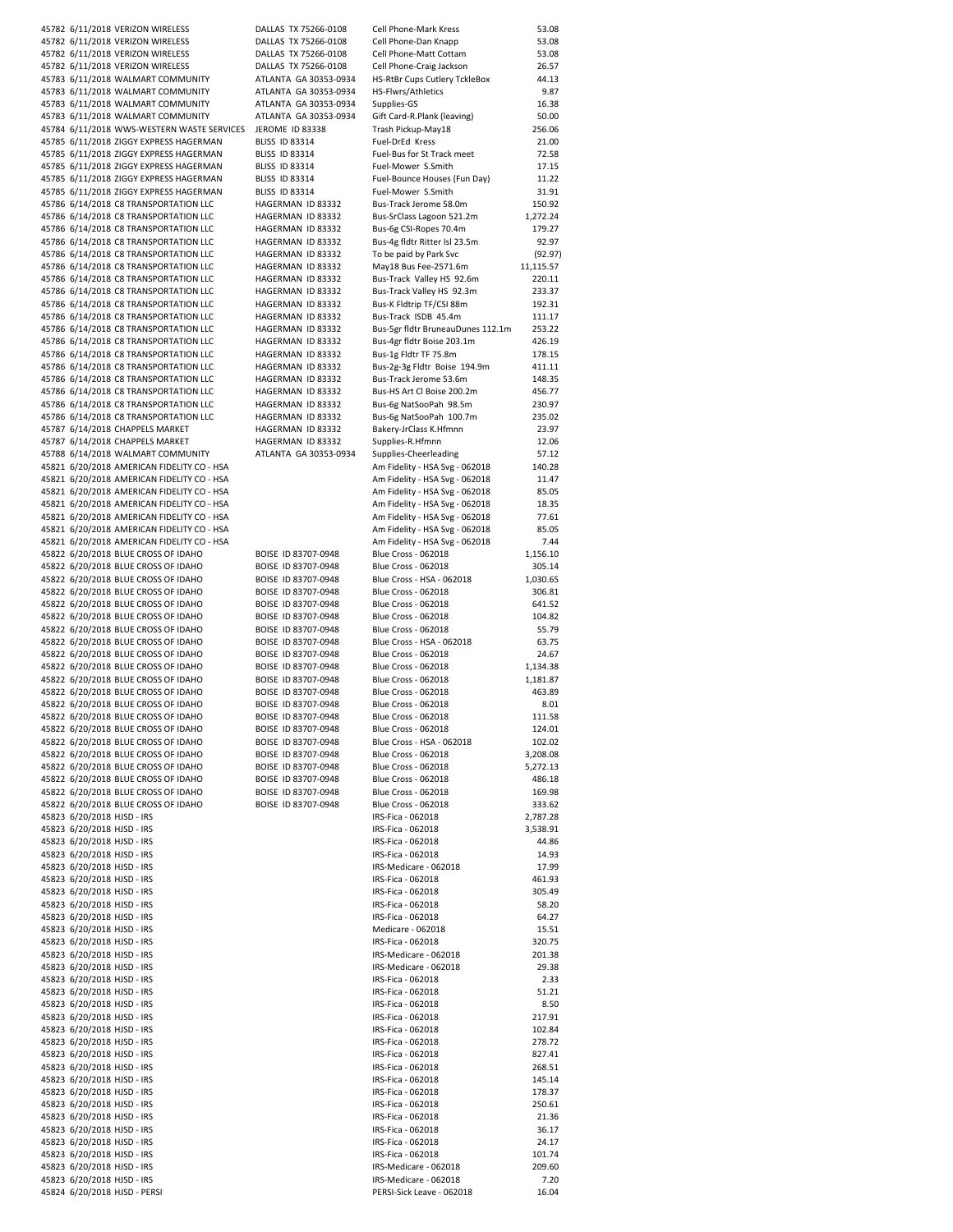45782 6/11/2018 VERIZON WIRELESS **ALLAS TX 75266-0108** Cell Phone-Mark Kress 53.08<br>45782 6/11/2018 VERIZON WIRELESS DALLAS TX 75266-0108 Cell Phone-Dan Knapp 53.08 45782 6/11/2018 VERIZON WIRELESS DALLAS TX 75266-0108 Cell Phone-Dan Knapp 45782 6/11/2018 VERIZON WIRELESS DALLAS TX 75266-0108 Cell Phone-Matt Cottam 45782 6/11/2018 VERIZON WIRELESS DALLAS TX 75266-0108 Cell Phone-Matt Cottam 53.08 45782 6/11/2018 VERIZON WIRELESS DALLAS TX 75266-0108 Cell Phone-Craig Jackson 26.57 45783 6/11/2018 WALMART COMMUNITY ATLANTA GA 30353-0934 HS-RtBr Cups Cutlery TckleBox 44.13<br>45783 6/11/2018 WALMART COMMUNITY ATLANTA GA 30353-0934 HS-Flwrs/Athletics 49.87 45783 6/11/2018 WALMART COMMUNITY ATLANTA GA 30353-0934 HS-Flwrs/Athletics 45783 6/11/2018 WALMART COMMUNITY ATLANTA GA 30353-0934 Supplies-GS 16.38 45783 6/11/2018 WALMART COMMUNITY ATLANTA GA 30353‐0934 Gift Card‐R.Plank (leaving) 50.00 45784 6/11/2018 WWS-WESTERN WASTE SERVICES JEROME ID 83338 Trash Pickup-May18 256.06 45785 6/11/2018 ZIGGY EXPRESS HAGERMAN BLISS ID 83314 Fuel-DrEd Kress 21.00 45785 6/11/2018 ZIGGY EXPRESS HAGERMAN BLISS ID 83314 Fuel-Bus for St Track meet 72.58 45785 6/11/2018 ZIGGY EXPRESS HAGERMAN BLISS ID 83314 Fuel-Mower S.Smith 17.15 45785 6/11/2018 ZIGGY EXPRESS HAGERMAN BLISS ID 83314 Fuel-Bounce Houses (Fun Day) 11.22 45785 6/11/2018 ZIGGY EXPRESS HAGERMAN BLISS ID 83314 Fuel-Mower S.Smith 31.91 45786 6/14/2018 C8 TRANSPORTATION LLC HAGERMAN ID 83332 Bus‐Track Jerome 58.0m 150.92 45786 6/14/2018 C8 TRANSPORTATION LLC HAGERMAN ID 83332 Bus‐SrClass Lagoon 521.2m 1,272.24 45786 6/14/2018 C8 TRANSPORTATION LLC HAGERMAN ID 83332 Bus-6g CSI-Ropes 70.4m 179.27 45786 6/14/2018 C8 TRANSPORTATION LLC HAGERMAN ID 83332 Bus-4g fldtr Ritter Isl 23.5m 92.97 45786 6/14/2018 C8 TRANSPORTATION LLC HAGERMAN ID 83332 To be paid by Park Svc (92.97) 45786 6/14/2018 C8 TRANSPORTATION LLC 
HAGERMAN ID 83332 May18 Bus Fee-2571.6m 
11,115.57<br>45786 6/14/2018 C8 TRANSPORTATION LLC HAGERMAN ID 83332 Bus-Track Valley HS 92.6m 220.11 45786 6/14/2018 C8 TRANSPORTATION LLC HAGERMAN ID 83332<br>45786 6/14/2018 C8 TRANSPORTATION LLC HAGERMAN ID 83332 45786 6/14/2018 C8 TRANSPORTATION LLC HAGERMAN ID 83332 Bus-Track Valley HS 92.3m 233.37 45786 6/14/2018 C8 TRANSPORTATION LLC HAGERMAN ID 83332 Bus‐K Fldtrip TF/CSI 88m 192.31 45786 6/14/2018 C8 TRANSPORTATION LLC HAGERMAN ID 83332 Bus-Track ISDB 45.4m 111.17 45786 6/14/2018 C8 TRANSPORTATION LLC HAGERMAN ID 83332 Bus‐5gr fldtr BruneauDunes 112.1m 253.22 45786 6/14/2018 C8 TRANSPORTATION LLC HAGERMAN ID 83332 Bus‐4gr fldtr Boise 203.1m 426.19 45786 6/14/2018 C8 TRANSPORTATION LLC HAGERMAN ID 83332 Bus‐1g Fldtr TF 75.8m 178.15 45786 6/14/2018 C8 TRANSPORTATION LLC HAGERMAN ID 83332 Bus-2g-3g Fldtr Boise 194.9m 411.11 45786 6/14/2018 C8 TRANSPORTATION LLC HAGERMAN ID 83332 Bus‐Track Jerome 53.6m 148.35 45786 6/14/2018 C8 TRANSPORTATION LLC HAGERMAN ID 83332 Bus‐HS Art Cl Boise 200.2m 456.77 45786 6/14/2018 C8 TRANSPORTATION LLC HAGERMAN ID 83332 Bus‐6g NatSooPah 98.5m 230.97 45786 6/14/2018 C8 TRANSPORTATION LLC HAGERMAN ID 83332 Bus‐6g NatSooPah 100.7m 235.02 45787 6/14/2018 CHAPPELS MARKET HAGERMAN ID 83332 Bakery-JrClass K.Hfmnn 23.97 45787 6/14/2018 CHAPPELS MARKET HAGERMAN ID 83332 Supplies‐R.Hfmnn 12.06 45788 6/14/2018 WALMART COMMUNITY ATLANTA GA 30353-0934 Supplies-Cheerleading 57.12 45821 6/20/2018 AMERICAN FIDELITY CO ‐ HSA Am Fidelity ‐ HSA Svg ‐ 062018 140.28 45821 6/20/2018 AMERICAN FIDELITY CO ‐ HSA Am Fidelity ‐ HSA Svg ‐ 062018 11.47 45821 6/20/2018 AMERICAN FIDELITY CO ‐ HSA Am Fidelity ‐ HSA Svg ‐ 062018 85.05 45821 6/20/2018 AMERICAN FIDELITY CO ‐ HSA Am Fidelity ‐ HSA Svg ‐ 062018 18.35 45821 6/20/2018 AMERICAN FIDELITY CO ‐ HSA Am Fidelity ‐ HSA Svg ‐ 062018 77.61 45821 6/20/2018 AMERICAN FIDELITY CO ‐ HSA Am Fidelity ‐ HSA Svg ‐ 062018 85.05 45821 6/20/2018 AMERICAN FIDELITY CO ‐ HSA Am Fidelity ‐ HSA Svg ‐ 062018 7.44 45822 6/20/2018 BLUE CROSS OF IDAHO 45822 6/20/2018 BLUE CROSS OF IDAHO BOISE ID 83707-0948 Blue Cross - 062018 305.14<br>45822 6/20/2018 BLUE CROSS OF IDAHO BOISE ID 83707-0948 Blue Cross - HSA - 062018 1.030.65 45822 6/20/2018 BLUE CROSS OF IDAHO 45822 6/20/2018 BLUE CROSS OF IDAHO BOISE ID 83707‐0948 Blue Cross ‐ 062018 306.81 45822 6/20/2018 BLUE CROSS OF IDAHO BOISE ID 83707-0948 Blue Cross - 062018 641.52<br>45822 6/20/2018 BLUE CROSS OF IDAHO BOISE ID 83707-0948 Blue Cross - 062018 104.82 45822 6/20/2018 BLUE CROSS OF IDAHO BOISE ID 83707-0948 Blue Cross - 062018 45822 6/20/2018 BLUE CROSS OF IDAHO BOISE ID 83707‐0948 Blue Cross ‐ 062018 55.79 45822 6/20/2018 BLUE CROSS OF IDAHO BOISE ID 83707‐0948 Blue Cross ‐ HSA ‐ 062018 63.75 45822 6/20/2018 BLUE CROSS OF IDAHO BOISE ID 83707‐0948 Blue Cross ‐ 062018 24.67 45822 6/20/2018 BLUE CROSS OF IDAHO BOISE ID 83707‐0948 Blue Cross ‐ 062018 1,134.38 45822 6/20/2018 BLUE CROSS OF IDAHO BOISE ID 83707‐0948 Blue Cross ‐ 062018 1,181.87 45822 6/20/2018 BLUE CROSS OF IDAHO BOISE ID 83707-0948 Blue Cross - 062018 463.89 45822 6/20/2018 BLUE CROSS OF IDAHO BOISE ID 83707‐0948 Blue Cross ‐ 062018 8.01 45822 6/20/2018 BLUE CROSS OF IDAHO BOISE ID 83707-0948 Blue Cross - 062018 111.58 45822 6/20/2018 BLUE CROSS OF IDAHO BOISE ID 83707‐0948 Blue Cross ‐ 062018 124.01 45822 6/20/2018 BLUE CROSS OF IDAHO BOISE ID 83707-0948 Blue Cross - HSA - 062018 102.02<br>45822 6/20/2018 BLUE CROSS OF IDAHO BOISE ID 83707-0948 Blue Cross - 062018 3.208.08 45822 6/20/2018 BLUE CROSS OF IDAHO BOISE ID 83707-0948 Blue Cross - 062018 3,208.08<br>45822 6/20/2018 BLUE CROSS OF IDAHO BOISE ID 83707-0948 Blue Cross - 062018 5.272.13 45822 6/20/2018 BLUE CROSS OF IDAHO 45822 6/20/2018 BLUE CROSS OF IDAHO BOISE ID 83707‐0948 Blue Cross ‐ 062018 486.18 45822 6/20/2018 BLUE CROSS OF IDAHO BOISE ID 83707‐0948 Blue Cross ‐ 062018 169.98 45822 6/20/2018 BLUE CROSS OF IDAHO BOISE ID 83707‐0948 Blue Cross ‐ 062018 333.62 45823 6/20/2018 HJSD ‐ IRS IRS‐Fica ‐ 062018 2,787.28 45823 6/20/2018 HJSD ‐ IRS IRS‐Fica ‐ 062018 3,538.91 45823 6/20/2018 HJSD ‐ IRS<br>45823 6/20/2018 HJSD ‐ IRS<br>45823 6/20/2018 HJSD ‐ IRS 45823 6/20/2018 HJSD - IRS 45823 6/20/2018 HJSD ‐ IRS IRS‐Medicare ‐ 062018 17.99 45823 6/20/2018 HJSD ‐ IRS IRS‐Fica ‐ 062018 461.93 45823 6/20/2018 HJSD ‐ IRS IRS‐Fica ‐ 062018 305.49 45823 6/20/2018 HJSD ‐ IRS IRS‐Fica ‐ 062018 58.20 45823 6/20/2018 HJSD ‐ IRS IRS‐Fica ‐ 062018 64.27 45823 6/20/2018 HJSD ‐ IRS Medicare ‐ 062018 15.51 45823 6/20/2018 HJSD ‐ IRS IRS‐Fica ‐ 062018 320.75 45823 6/20/2018 HJSD ‐ IRS IRS‐Medicare ‐ 062018 201.38 45823 6/20/2018 HJSD ‐ IRS IRS‐Medicare ‐ 062018 29.38 45823 6/20/2018 HJSD ‐ IRS IRS‐Fica ‐ 062018 2.33 45823 6/20/2018 HJSD ‐ IRS IRS‐Fica ‐ 062018 51.21 45823 6/20/2018 HJSD ‐ IRS IRS‐Fica ‐ 062018 8.50 45823 6/20/2018 HJSD - IRS 217.91 45823 6/20/2018 HJSD ‐ IRS IRS‐Fica ‐ 062018 102.84 45823 6/20/2018 HJSD ‐ IRS IRS‐Fica ‐ 062018 278.72 45823 6/20/2018 HJSD ‐ IRS IRS‐Fica ‐ 062018 827.41 45823 6/20/2018 HJSD ‐ IRS IRS‐Fica ‐ 062018 268.51 45823 6/20/2018 HJSD ‐ IRS<br>45823 6/20/2018 HJSD ‐ IRS<br>45823 6/20/2018 HJSD ‐ IRS 45823 6/20/2018 HJSD - IRS 45823 6/20/2018 HJSD ‐ IRS IRS‐Fica ‐ 062018 250.61 45823 6/20/2018 HJSD ‐ IRS IRS‐Fica ‐ 062018 21.36 45823 6/20/2018 HJSD ‐ IRS IRS‐Fica ‐ 062018 36.17 45823 6/20/2018 HJSD ‐ IRS IRS‐Fica ‐ 062018 24.17 45823 6/20/2018 HJSD ‐ IRS IRS‐Fica ‐ 062018 101.74 45823 6/20/2018 HJSD ‐ IRS IRS‐Medicare ‐ 062018 209.60 45823 6/20/2018 HJSD ‐ IRS IRS‐Medicare ‐ 062018 7.20

45824 6/20/2018 HJSD ‐ PERSI PERSI‐Sick Leave ‐ 062018 16.04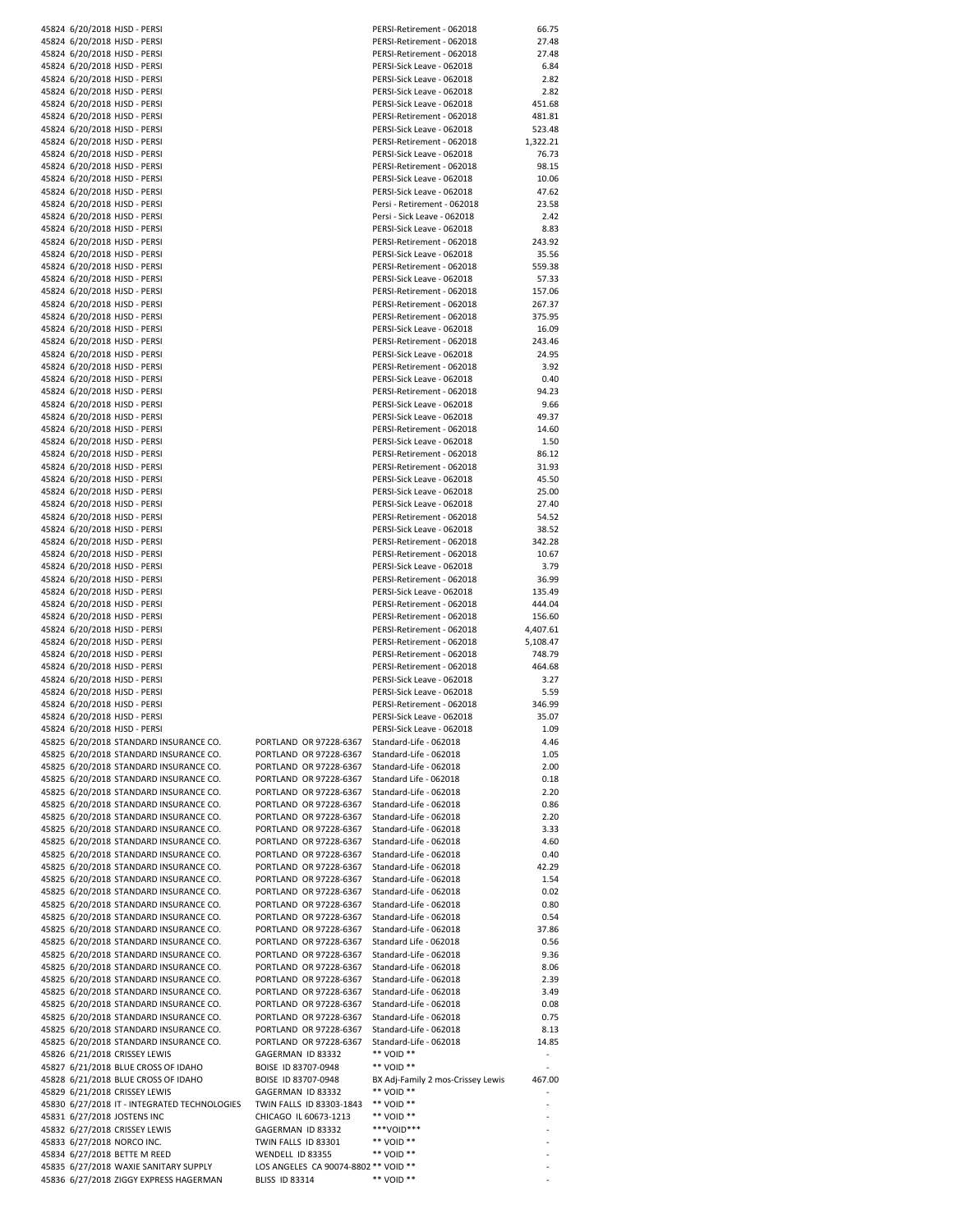|  | 45824 6/20/2018 HJSD - PERSI                 |                                      | PERSI-Retirement - 062018         | 66.75    |
|--|----------------------------------------------|--------------------------------------|-----------------------------------|----------|
|  | 45824 6/20/2018 HJSD - PERSI                 |                                      | PERSI-Retirement - 062018         | 27.48    |
|  | 45824 6/20/2018 HJSD - PERSI                 |                                      |                                   | 27.48    |
|  |                                              |                                      | PERSI-Retirement - 062018         |          |
|  | 45824 6/20/2018 HJSD - PERSI                 |                                      | PERSI-Sick Leave - 062018         | 6.84     |
|  | 45824 6/20/2018 HJSD - PERSI                 |                                      | PERSI-Sick Leave - 062018         | 2.82     |
|  | 45824 6/20/2018 HJSD - PERSI                 |                                      | PERSI-Sick Leave - 062018         | 2.82     |
|  | 45824 6/20/2018 HJSD - PERSI                 |                                      | PERSI-Sick Leave - 062018         | 451.68   |
|  | 45824 6/20/2018 HJSD - PERSI                 |                                      | PERSI-Retirement - 062018         | 481.81   |
|  |                                              |                                      |                                   |          |
|  | 45824 6/20/2018 HJSD - PERSI                 |                                      | PERSI-Sick Leave - 062018         | 523.48   |
|  | 45824 6/20/2018 HJSD - PERSI                 |                                      | PERSI-Retirement - 062018         | 1,322.21 |
|  | 45824 6/20/2018 HJSD - PERSI                 |                                      | PERSI-Sick Leave - 062018         | 76.73    |
|  | 45824 6/20/2018 HJSD - PERSI                 |                                      | PERSI-Retirement - 062018         | 98.15    |
|  | 45824 6/20/2018 HJSD - PERSI                 |                                      | PERSI-Sick Leave - 062018         | 10.06    |
|  |                                              |                                      |                                   |          |
|  | 45824 6/20/2018 HJSD - PERSI                 |                                      | PERSI-Sick Leave - 062018         | 47.62    |
|  | 45824 6/20/2018 HJSD - PERSI                 |                                      | Persi - Retirement - 062018       | 23.58    |
|  | 45824 6/20/2018 HJSD - PERSI                 |                                      | Persi - Sick Leave - 062018       | 2.42     |
|  | 45824 6/20/2018 HJSD - PERSI                 |                                      | PERSI-Sick Leave - 062018         | 8.83     |
|  |                                              |                                      |                                   |          |
|  | 45824 6/20/2018 HJSD - PERSI                 |                                      | PERSI-Retirement - 062018         | 243.92   |
|  | 45824 6/20/2018 HJSD - PERSI                 |                                      | PERSI-Sick Leave - 062018         | 35.56    |
|  | 45824 6/20/2018 HJSD - PERSI                 |                                      | PERSI-Retirement - 062018         | 559.38   |
|  | 45824 6/20/2018 HJSD - PERSI                 |                                      | PERSI-Sick Leave - 062018         | 57.33    |
|  | 45824 6/20/2018 HJSD - PERSI                 |                                      | PERSI-Retirement - 062018         | 157.06   |
|  |                                              |                                      |                                   |          |
|  | 45824 6/20/2018 HJSD - PERSI                 |                                      | PERSI-Retirement - 062018         | 267.37   |
|  | 45824 6/20/2018 HJSD - PERSI                 |                                      | PERSI-Retirement - 062018         | 375.95   |
|  | 45824 6/20/2018 HJSD - PERSI                 |                                      | PERSI-Sick Leave - 062018         | 16.09    |
|  | 45824 6/20/2018 HJSD - PERSI                 |                                      | PERSI-Retirement - 062018         | 243.46   |
|  | 45824 6/20/2018 HJSD - PERSI                 |                                      |                                   |          |
|  |                                              |                                      | PERSI-Sick Leave - 062018         | 24.95    |
|  | 45824 6/20/2018 HJSD - PERSI                 |                                      | PERSI-Retirement - 062018         | 3.92     |
|  | 45824 6/20/2018 HJSD - PERSI                 |                                      | PERSI-Sick Leave - 062018         | 0.40     |
|  | 45824 6/20/2018 HJSD - PERSI                 |                                      | PERSI-Retirement - 062018         | 94.23    |
|  | 45824 6/20/2018 HJSD - PERSI                 |                                      | PERSI-Sick Leave - 062018         | 9.66     |
|  |                                              |                                      |                                   |          |
|  | 45824 6/20/2018 HJSD - PERSI                 |                                      | PERSI-Sick Leave - 062018         | 49.37    |
|  | 45824 6/20/2018 HJSD - PERSI                 |                                      | PERSI-Retirement - 062018         | 14.60    |
|  | 45824 6/20/2018 HJSD - PERSI                 |                                      | PERSI-Sick Leave - 062018         | 1.50     |
|  | 45824 6/20/2018 HJSD - PERSI                 |                                      | PERSI-Retirement - 062018         | 86.12    |
|  |                                              |                                      |                                   |          |
|  | 45824 6/20/2018 HJSD - PERSI                 |                                      | PERSI-Retirement - 062018         | 31.93    |
|  | 45824 6/20/2018 HJSD - PERSI                 |                                      | PERSI-Sick Leave - 062018         | 45.50    |
|  | 45824 6/20/2018 HJSD - PERSI                 |                                      | PERSI-Sick Leave - 062018         | 25.00    |
|  | 45824 6/20/2018 HJSD - PERSI                 |                                      | PERSI-Sick Leave - 062018         | 27.40    |
|  | 45824 6/20/2018 HJSD - PERSI                 |                                      | PERSI-Retirement - 062018         | 54.52    |
|  |                                              |                                      |                                   |          |
|  | 45824 6/20/2018 HJSD - PERSI                 |                                      | PERSI-Sick Leave - 062018         | 38.52    |
|  | 45824 6/20/2018 HJSD - PERSI                 |                                      | PERSI-Retirement - 062018         | 342.28   |
|  | 45824 6/20/2018 HJSD - PERSI                 |                                      | PERSI-Retirement - 062018         | 10.67    |
|  | 45824 6/20/2018 HJSD - PERSI                 |                                      | PERSI-Sick Leave - 062018         | 3.79     |
|  |                                              |                                      |                                   |          |
|  | 45824 6/20/2018 HJSD - PERSI                 |                                      | PERSI-Retirement - 062018         | 36.99    |
|  | 45824 6/20/2018 HJSD - PERSI                 |                                      | PERSI-Sick Leave - 062018         | 135.49   |
|  | 45824 6/20/2018 HJSD - PERSI                 |                                      | PERSI-Retirement - 062018         | 444.04   |
|  | 45824 6/20/2018 HJSD - PERSI                 |                                      | PERSI-Retirement - 062018         | 156.60   |
|  | 45824 6/20/2018 HJSD - PERSI                 |                                      | PERSI-Retirement - 062018         |          |
|  |                                              |                                      |                                   | 4,407.61 |
|  | 45824 6/20/2018 HJSD - PERSI                 |                                      | PERSI-Retirement - 062018         | 5,108.47 |
|  | 45824 6/20/2018 HJSD - PERSI                 |                                      | PERSI-Retirement - 062018         | 748.79   |
|  | 45824 6/20/2018 HJSD - PERSI                 |                                      | PERSI-Retirement - 062018         | 464.68   |
|  | 45824 6/20/2018 HJSD - PERSI                 |                                      | PERSI-Sick Leave - 062018         | 3.27     |
|  |                                              |                                      |                                   |          |
|  | 45824 6/20/2018 HJSD - PERSI                 |                                      | PERSI-Sick Leave - 062018         | 5.59     |
|  | 45824 6/20/2018 HJSD - PERSI                 |                                      | PERSI-Retirement - 062018         | 346.99   |
|  | 45824 6/20/2018 HJSD - PERSI                 |                                      | PERSI-Sick Leave - 062018         | 35.07    |
|  | 45824 6/20/2018 HJSD - PERSI                 |                                      | PERSI-Sick Leave - 062018         | 1.09     |
|  |                                              | PORTLAND OR 97228-6367               | Standard-Life - 062018            | 4.46     |
|  | 45825 6/20/2018 STANDARD INSURANCE CO.       |                                      |                                   |          |
|  | 45825 6/20/2018 STANDARD INSURANCE CO.       | PORTLAND OR 97228-6367               | Standard-Life - 062018            | 1.05     |
|  | 45825 6/20/2018 STANDARD INSURANCE CO.       | PORTLAND OR 97228-6367               | Standard-Life - 062018            | 2.00     |
|  | 45825 6/20/2018 STANDARD INSURANCE CO.       | PORTLAND OR 97228-6367               | Standard Life - 062018            | 0.18     |
|  | 45825 6/20/2018 STANDARD INSURANCE CO.       | PORTLAND OR 97228-6367               | Standard-Life - 062018            | 2.20     |
|  |                                              |                                      |                                   |          |
|  | 45825 6/20/2018 STANDARD INSURANCE CO.       | PORTLAND OR 97228-6367               | Standard-Life - 062018            | 0.86     |
|  | 45825 6/20/2018 STANDARD INSURANCE CO.       | PORTLAND OR 97228-6367               | Standard-Life - 062018            | 2.20     |
|  | 45825 6/20/2018 STANDARD INSURANCE CO.       | PORTLAND OR 97228-6367               | Standard-Life - 062018            | 3.33     |
|  | 45825 6/20/2018 STANDARD INSURANCE CO.       | PORTLAND OR 97228-6367               | Standard-Life - 062018            | 4.60     |
|  | 45825 6/20/2018 STANDARD INSURANCE CO.       | PORTLAND OR 97228-6367               | Standard-Life - 062018            | 0.40     |
|  |                                              |                                      |                                   |          |
|  | 45825 6/20/2018 STANDARD INSURANCE CO.       | PORTLAND OR 97228-6367               | Standard-Life - 062018            | 42.29    |
|  | 45825 6/20/2018 STANDARD INSURANCE CO.       | PORTLAND OR 97228-6367               | Standard-Life - 062018            | 1.54     |
|  | 45825 6/20/2018 STANDARD INSURANCE CO.       | PORTLAND OR 97228-6367               | Standard-Life - 062018            | 0.02     |
|  | 45825 6/20/2018 STANDARD INSURANCE CO.       | PORTLAND OR 97228-6367               | Standard-Life - 062018            | 0.80     |
|  |                                              | PORTLAND OR 97228-6367               |                                   |          |
|  | 45825 6/20/2018 STANDARD INSURANCE CO.       |                                      | Standard-Life - 062018            | 0.54     |
|  | 45825 6/20/2018 STANDARD INSURANCE CO.       | PORTLAND OR 97228-6367               | Standard-Life - 062018            | 37.86    |
|  | 45825 6/20/2018 STANDARD INSURANCE CO.       | PORTLAND OR 97228-6367               | Standard Life - 062018            | 0.56     |
|  | 45825 6/20/2018 STANDARD INSURANCE CO.       | PORTLAND OR 97228-6367               | Standard-Life - 062018            | 9.36     |
|  | 45825 6/20/2018 STANDARD INSURANCE CO.       | PORTLAND OR 97228-6367               | Standard-Life - 062018            | 8.06     |
|  |                                              |                                      |                                   |          |
|  | 45825 6/20/2018 STANDARD INSURANCE CO.       | PORTLAND OR 97228-6367               | Standard-Life - 062018            | 2.39     |
|  | 45825 6/20/2018 STANDARD INSURANCE CO.       | PORTLAND OR 97228-6367               | Standard-Life - 062018            | 3.49     |
|  | 45825 6/20/2018 STANDARD INSURANCE CO.       | PORTLAND OR 97228-6367               | Standard-Life - 062018            | 0.08     |
|  | 45825 6/20/2018 STANDARD INSURANCE CO.       | PORTLAND OR 97228-6367               | Standard-Life - 062018            | 0.75     |
|  |                                              |                                      |                                   |          |
|  | 45825 6/20/2018 STANDARD INSURANCE CO.       | PORTLAND OR 97228-6367               | Standard-Life - 062018            | 8.13     |
|  | 45825 6/20/2018 STANDARD INSURANCE CO.       | PORTLAND OR 97228-6367               | Standard-Life - 062018            | 14.85    |
|  | 45826 6/21/2018 CRISSEY LEWIS                | GAGERMAN ID 83332                    | ** VOID **                        |          |
|  | 45827 6/21/2018 BLUE CROSS OF IDAHO          | BOISE ID 83707-0948                  | ** VOID **                        |          |
|  |                                              |                                      |                                   |          |
|  | 45828 6/21/2018 BLUE CROSS OF IDAHO          | BOISE ID 83707-0948                  | BX Adj-Family 2 mos-Crissey Lewis | 467.00   |
|  | 45829 6/21/2018 CRISSEY LEWIS                | GAGERMAN ID 83332                    | ** VOID **                        |          |
|  | 45830 6/27/2018 IT - INTEGRATED TECHNOLOGIES | TWIN FALLS ID 83303-1843             | ** VOID **                        |          |
|  | 45831 6/27/2018 JOSTENS INC                  | CHICAGO IL 60673-1213                | ** VOID **                        |          |
|  |                                              |                                      | ***VOID***                        |          |
|  | 45832 6/27/2018 CRISSEY LEWIS                | GAGERMAN ID 83332                    |                                   |          |
|  | 45833 6/27/2018 NORCO INC.                   | TWIN FALLS ID 83301                  | ** VOID **                        |          |
|  | 45834 6/27/2018 BETTE M REED                 | WENDELL ID 83355                     | ** VOID **                        |          |
|  | 45835 6/27/2018 WAXIE SANITARY SUPPLY        | LOS ANGELES CA 90074-8802 ** VOID ** |                                   |          |
|  |                                              |                                      |                                   |          |
|  | 45836 6/27/2018 ZIGGY EXPRESS HAGERMAN       | <b>BLISS ID 83314</b>                | ** VOID **                        |          |